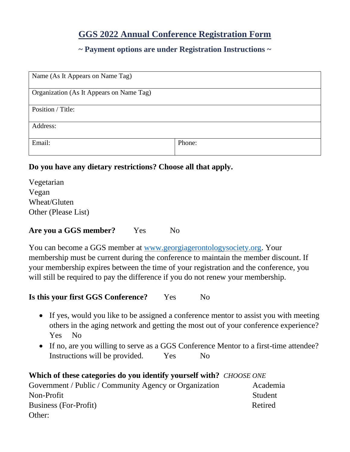# **GGS 2022 Annual Conference Registration Form**

# **~ Payment options are under Registration Instructions ~**

| Name (As It Appears on Name Tag)         |        |
|------------------------------------------|--------|
| Organization (As It Appears on Name Tag) |        |
| Position / Title:                        |        |
| Address:                                 |        |
| Email:                                   | Phone: |

### **Do you have any dietary restrictions? Choose all that apply.**

| Vegetarian          |  |
|---------------------|--|
| Vegan               |  |
| Wheat/Gluten        |  |
| Other (Please List) |  |

### Are you a GGS member? Yes No

You can become a GGS member at [www.georgiagerontologysociety.org.](http://www.georgiagerontologysociety.org/) Your membership must be current during the conference to maintain the member discount. If your membership expires between the time of your registration and the conference, you will still be required to pay the difference if you do not renew your membership.

### **Is this your first GGS Conference?** Yes No

- If yes, would you like to be assigned a conference mentor to assist you with meeting others in the aging network and getting the most out of your conference experience? Yes No
- If no, are you willing to serve as a GGS Conference Mentor to a first-time attendee? Instructions will be provided. Yes No

### **Which of these categories do you identify yourself with?** *CHOOSE ONE*

| Government / Public / Community Agency or Organization | Academia |
|--------------------------------------------------------|----------|
| Non-Profit                                             | Student  |
| Business (For-Profit)                                  | Retired  |
| Other:                                                 |          |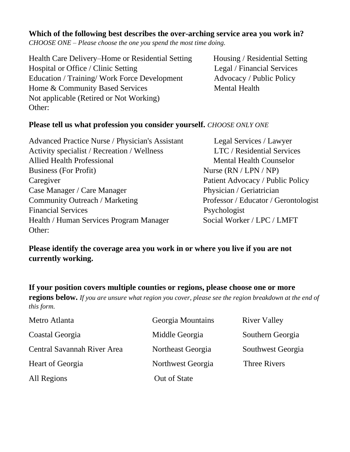## **Which of the following best describes the over-arching service area you work in?**

*CHOOSE ONE – Please choose the one you spend the most time doing.*

Health Care Delivery–Home or Residential Setting Housing / Residential Setting Hospital or Office / Clinic Setting Legal / Financial Services Education / Training/ Work Force Development Advocacy / Public Policy Home & Community Based Services Mental Health Not applicable (Retired or Not Working) Other:

## **Please tell us what profession you consider yourself.** *CHOOSE ONLY ONE*

| <b>Advanced Practice Nurse / Physician's Assistan</b> |
|-------------------------------------------------------|
| Activity specialist / Recreation / Wellness           |
| <b>Allied Health Professional</b>                     |
| <b>Business (For Profit)</b>                          |
| Caregiver                                             |
| Case Manager / Care Manager                           |
| Community Outreach / Marketing                        |
| <b>Financial Services</b>                             |
| Health / Human Services Program Manager               |
| Other:                                                |

nt Legal Services / Lawyer LTC / Residential Services Mental Health Counselor Nurse (RN / LPN / NP) Patient Advocacy / Public Policy Physician / Geriatrician Professor / Educator / Gerontologist Psychologist Social Worker / LPC / LMFT

# **Please identify the coverage area you work in or where you live if you are not currently working.**

**If your position covers multiple counties or regions, please choose one or more regions below.** *If you are unsure what region you cover, please see the region breakdown at the end of this form.*

| Metro Atlanta               | Georgia Mountains | <b>River Valley</b> |
|-----------------------------|-------------------|---------------------|
| Coastal Georgia             | Middle Georgia    | Southern Georgia    |
| Central Savannah River Area | Northeast Georgia | Southwest Georgia   |
| Heart of Georgia            | Northwest Georgia | Three Rivers        |
| All Regions                 | Out of State      |                     |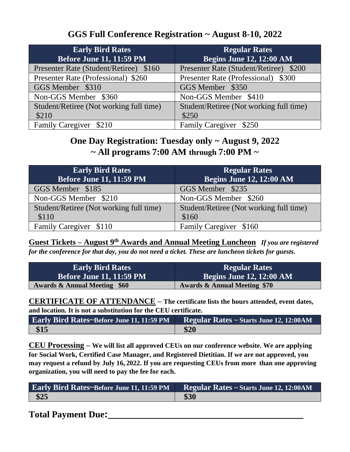# **GGS Full Conference Registration ~ August 8-10, 2022**

| <b>Early Bird Rates</b><br><b>Before June 11, 11:59 PM</b> | <b>Regular Rates</b><br><b>Begins June 12, 12:00 AM</b> |
|------------------------------------------------------------|---------------------------------------------------------|
| Presenter Rate (Student/Retiree) \$160                     | Presenter Rate (Student/Retiree) \$200                  |
| Presenter Rate (Professional) \$260                        | Presenter Rate (Professional) \$300                     |
| GGS Member \$310                                           | GGS Member \$350                                        |
| Non-GGS Member \$360                                       | Non-GGS Member \$410                                    |
| Student/Retiree (Not working full time)                    | Student/Retiree (Not working full time)                 |
| \$210                                                      | \$250                                                   |
| Family Caregiver \$210                                     | Family Caregiver \$250                                  |

**One Day Registration: Tuesday only ~ August 9, 2022 ~ All programs 7:00 AM through 7:00 PM ~**

| <b>Early Bird Rates</b>                 | <b>Regular Rates</b>                    |
|-----------------------------------------|-----------------------------------------|
| <b>Before June 11, 11:59 PM</b>         | <b>Begins June 12, 12:00 AM</b>         |
| GGS Member \$185                        | GGS Member \$235                        |
| Non-GGS Member \$210                    | Non-GGS Member \$260                    |
| Student/Retiree (Not working full time) | Student/Retiree (Not working full time) |
| \$110                                   | \$160                                   |
| Family Caregiver \$110                  | Family Caregiver \$160                  |

**Guest Tickets – August 9th Awards and Annual Meeting Luncheon** *If you are registered for the conference for that day, you do not need a ticket. These are luncheon tickets for guests.*

| <b>Early Bird Rates</b>                 | <b>Regular Rates</b>                    |
|-----------------------------------------|-----------------------------------------|
| <b>Before June 11, 11:59 PM</b>         | <b>Begins June 12, 12:00 AM</b>         |
| <b>Awards &amp; Annual Meeting \$60</b> | <b>Awards &amp; Annual Meeting \$70</b> |

**CERTIFICATE OF ATTENDANCE – The certificate lists the hours attended, event dates, and location. It is not a substitution for the CEU certificate.**

| <b>Early Bird Rates~Before June 11, 11:59 PM</b> Regular Rates ~ Starts June 12, 12:00AM |      |
|------------------------------------------------------------------------------------------|------|
| $\frac{$15}{}$                                                                           | \$20 |

**CEU Processing – We will list all approved CEUs on our conference website. We are applying for Social Work, Certified Case Manager, and Registered Dietitian. If we are not approved, you may request a refund by July 16, 2022. If you are requesting CEUs from more than one approving organization, you will need to pay the fee for each.**

| <b>Early Bird Rates~Before June 11, 11:59 PM Regular Rates ~ Starts June 12, 12:00AM</b> |      |
|------------------------------------------------------------------------------------------|------|
| \$25                                                                                     | \$30 |

**Total Payment Due:\_\_\_\_\_\_\_\_\_\_\_\_\_\_\_\_\_\_\_\_\_\_\_\_\_\_\_\_\_\_\_\_\_\_\_\_\_\_**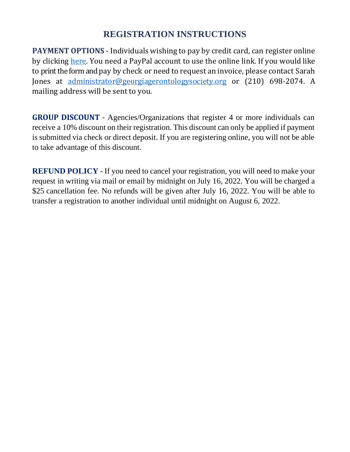# **REGISTRATION INSTRUCTIONS**

**PAYMENT OPTIONS** - Individuals wishing to pay by credit card, can register online by clicking [here.](https://form.jotform.com/220906058964058) You need a PayPal account to use the online link. If you would like to print the form and pay by check or need to request an invoice, please contact Sarah Jones at [administrator@georgiagerontologysociety.org](mailto:administrator@georgiagerontologysociety.org) or (210) 698-2074. A mailing address will be sent to you.

**GROUP DISCOUNT** - Agencies/Organizations that register 4 or more individuals can receive a 10% discount on their registration. This discount can only be applied if payment is submitted via check or direct deposit. If you are registering online, you will not be able to take advantage of this discount.

**REFUND POLICY** - If you need to cancel your registration, you will need to make your request in writing via mail or email by midnight on July 16, 2022. You will be charged a \$25 cancellation fee. No refunds will be given after July 16, 2022. You will be able to transfer a registration to another individual until midnight on August 6, 2022.